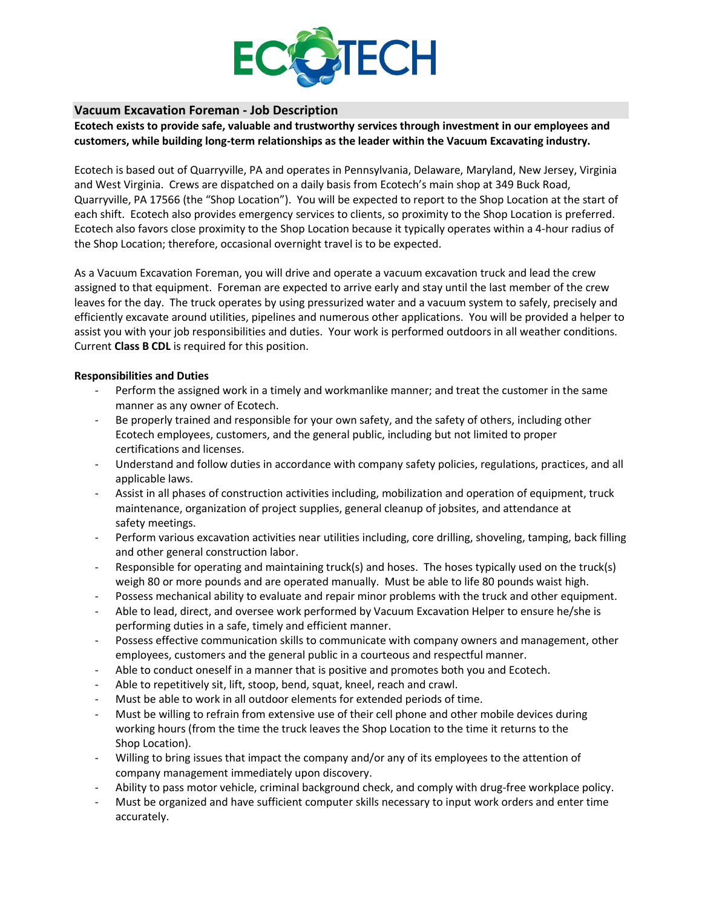

## **Vacuum Excavation Foreman - Job Description**

**Ecotech exists to provide safe, valuable and trustworthy services through investment in our employees and customers, while building long-term relationships as the leader within the Vacuum Excavating industry.**

Ecotech is based out of Quarryville, PA and operates in Pennsylvania, Delaware, Maryland, New Jersey, Virginia and West Virginia. Crews are dispatched on a daily basis from Ecotech's main shop at 349 Buck Road, Quarryville, PA 17566 (the "Shop Location"). You will be expected to report to the Shop Location at the start of each shift. Ecotech also provides emergency services to clients, so proximity to the Shop Location is preferred. Ecotech also favors close proximity to the Shop Location because it typically operates within a 4-hour radius of the Shop Location; therefore, occasional overnight travel is to be expected.

As a Vacuum Excavation Foreman, you will drive and operate a vacuum excavation truck and lead the crew assigned to that equipment. Foreman are expected to arrive early and stay until the last member of the crew leaves for the day. The truck operates by using pressurized water and a vacuum system to safely, precisely and efficiently excavate around utilities, pipelines and numerous other applications. You will be provided a helper to assist you with your job responsibilities and duties. Your work is performed outdoors in all weather conditions. Current **Class B CDL** is required for this position.

## **Responsibilities and Duties**

- Perform the assigned work in a timely and workmanlike manner; and treat the customer in the same manner as any owner of Ecotech.
- Be properly trained and responsible for your own safety, and the safety of others, including other Ecotech employees, customers, and the general public, including but not limited to proper certifications and licenses.
- Understand and follow duties in accordance with company safety policies, regulations, practices, and all applicable laws.
- Assist in all phases of construction activities including, mobilization and operation of equipment, truck maintenance, organization of project supplies, general cleanup of jobsites, and attendance at safety meetings.
- Perform various excavation activities near utilities including, core drilling, shoveling, tamping, back filling and other general construction labor.
- Responsible for operating and maintaining truck(s) and hoses. The hoses typically used on the truck(s) weigh 80 or more pounds and are operated manually. Must be able to life 80 pounds waist high.
- Possess mechanical ability to evaluate and repair minor problems with the truck and other equipment.
- Able to lead, direct, and oversee work performed by Vacuum Excavation Helper to ensure he/she is performing duties in a safe, timely and efficient manner.
- Possess effective communication skills to communicate with company owners and management, other employees, customers and the general public in a courteous and respectful manner.
- Able to conduct oneself in a manner that is positive and promotes both you and Ecotech.
- Able to repetitively sit, lift, stoop, bend, squat, kneel, reach and crawl.
- Must be able to work in all outdoor elements for extended periods of time.
- Must be willing to refrain from extensive use of their cell phone and other mobile devices during working hours (from the time the truck leaves the Shop Location to the time it returns to the Shop Location).
- Willing to bring issues that impact the company and/or any of its employees to the attention of company management immediately upon discovery.
- Ability to pass motor vehicle, criminal background check, and comply with drug-free workplace policy.
- Must be organized and have sufficient computer skills necessary to input work orders and enter time accurately.